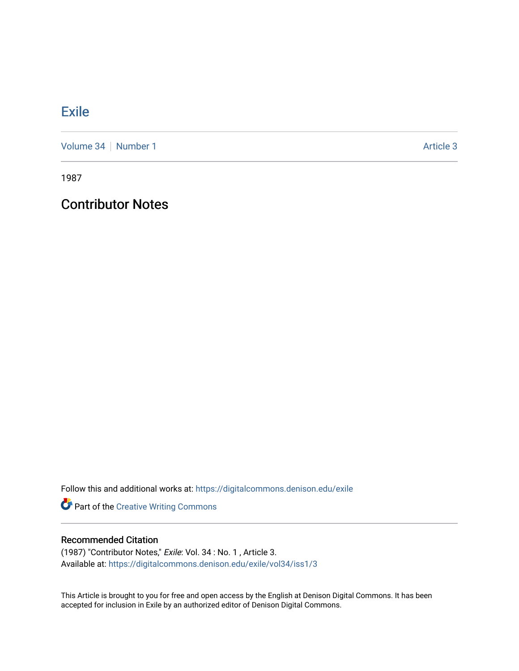## **[Exile](https://digitalcommons.denison.edu/exile)**

[Volume 34](https://digitalcommons.denison.edu/exile/vol34) [Number 1](https://digitalcommons.denison.edu/exile/vol34/iss1) Article 3

1987

## Contributor Notes

Follow this and additional works at: [https://digitalcommons.denison.edu/exile](https://digitalcommons.denison.edu/exile?utm_source=digitalcommons.denison.edu%2Fexile%2Fvol34%2Fiss1%2F3&utm_medium=PDF&utm_campaign=PDFCoverPages) 

Part of the [Creative Writing Commons](http://network.bepress.com/hgg/discipline/574?utm_source=digitalcommons.denison.edu%2Fexile%2Fvol34%2Fiss1%2F3&utm_medium=PDF&utm_campaign=PDFCoverPages) 

## Recommended Citation

(1987) "Contributor Notes," Exile: Vol. 34 : No. 1 , Article 3. Available at: [https://digitalcommons.denison.edu/exile/vol34/iss1/3](https://digitalcommons.denison.edu/exile/vol34/iss1/3?utm_source=digitalcommons.denison.edu%2Fexile%2Fvol34%2Fiss1%2F3&utm_medium=PDF&utm_campaign=PDFCoverPages) 

This Article is brought to you for free and open access by the English at Denison Digital Commons. It has been accepted for inclusion in Exile by an authorized editor of Denison Digital Commons.